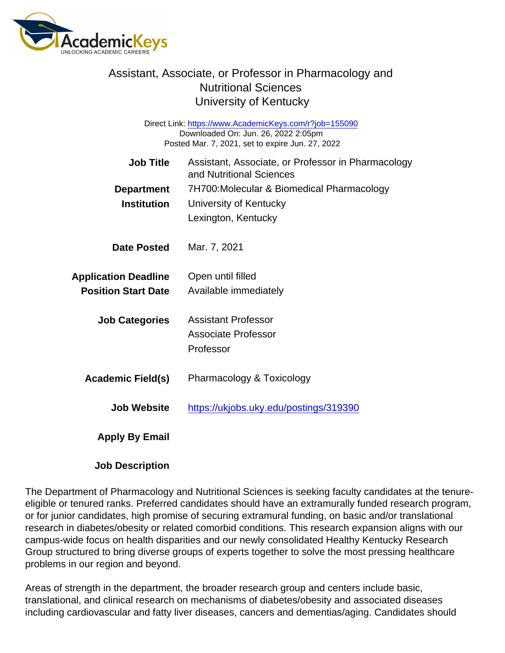## Assistant, Associate, or Professor in Pharmacology and Nutritional Sciences University of Kentucky

Direct Link: <https://www.AcademicKeys.com/r?job=155090> Downloaded On: Jun. 26, 2022 2:05pm Posted Mar. 7, 2021, set to expire Jun. 27, 2022

| <b>Job Title</b>            | Assistant, Associate, or Professor in Pharmacology<br>and Nutritional Sciences |
|-----------------------------|--------------------------------------------------------------------------------|
| Department                  | 7H700: Molecular & Biomedical Pharmacology                                     |
| Institution                 | University of Kentucky                                                         |
|                             | Lexington, Kentucky                                                            |
| Date Posted                 | Mar. 7, 2021                                                                   |
| <b>Application Deadline</b> | Open until filled                                                              |
| <b>Position Start Date</b>  | Available immediately                                                          |
| <b>Job Categories</b>       | <b>Assistant Professor</b>                                                     |
|                             | Associate Professor                                                            |
|                             | Professor                                                                      |
| Academic Field(s)           | Pharmacology & Toxicology                                                      |
| Job Website                 | https://ukjobs.uky.edu/postings/319390                                         |
| Apply By Email              |                                                                                |

Job Description

The Department of Pharmacology and Nutritional Sciences is seeking faculty candidates at the tenureeligible or tenured ranks. Preferred candidates should have an extramurally funded research program, or for junior candidates, high promise of securing extramural funding, on basic and/or translational research in diabetes/obesity or related comorbid conditions. This research expansion aligns with our campus-wide focus on health disparities and our newly consolidated Healthy Kentucky Research Group structured to bring diverse groups of experts together to solve the most pressing healthcare problems in our region and beyond.

Areas of strength in the department, the broader research group and centers include basic, translational, and clinical research on mechanisms of diabetes/obesity and associated diseases including cardiovascular and fatty liver diseases, cancers and dementias/aging. Candidates should